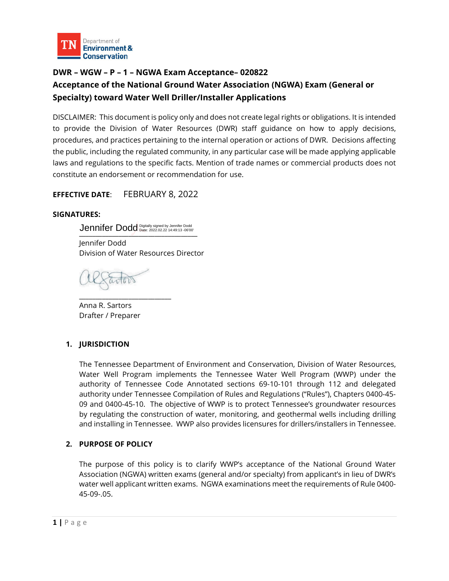

# **DWR – WGW – P – 1 – NGWA Exam Acceptance– 020822 Acceptance of the National Ground Water Association (NGWA) Exam (General or Specialty) toward Water Well Driller/Installer Applications**

DISCLAIMER: This document is policy only and does not create legal rights or obligations. It is intended to provide the Division of Water Resources (DWR) staff guidance on how to apply decisions, procedures, and practices pertaining to the internal operation or actions of DWR. Decisions affecting the public, including the regulated community, in any particular case will be made applying applicable laws and regulations to the specific facts. Mention of trade names or commercial products does not constitute an endorsement or recommendation for use.

**EFFECTIVE DATE**: FEBRUARY 8, 2022

#### **SIGNATURES:**

Jennifer Dodd Digitally signed by Jennifer Dodd<br>————————————————————

Jennifer Dodd Division of Water Resources Director

\_\_\_\_\_\_\_\_\_\_\_\_\_\_\_\_\_\_\_\_\_\_\_\_\_\_\_\_

Anna R. Sartors Drafter / Preparer

### **1. JURISDICTION**

The Tennessee Department of Environment and Conservation, Division of Water Resources, Water Well Program implements the Tennessee Water Well Program (WWP) under the authority of Tennessee Code Annotated sections 69-10-101 through 112 and delegated authority under Tennessee Compilation of Rules and Regulations ("Rules"), Chapters 0400-45- 09 and 0400-45-10. The objective of WWP is to protect Tennessee's groundwater resources by regulating the construction of water, monitoring, and geothermal wells including drilling and installing in Tennessee. WWP also provides licensures for drillers/installers in Tennessee.

### **2. PURPOSE OF POLICY**

The purpose of this policy is to clarify WWP's acceptance of the National Ground Water Association (NGWA) written exams (general and/or specialty) from applicant's in lieu of DWR's water well applicant written exams. NGWA examinations meet the requirements of Rule 0400- 45-09-.05.